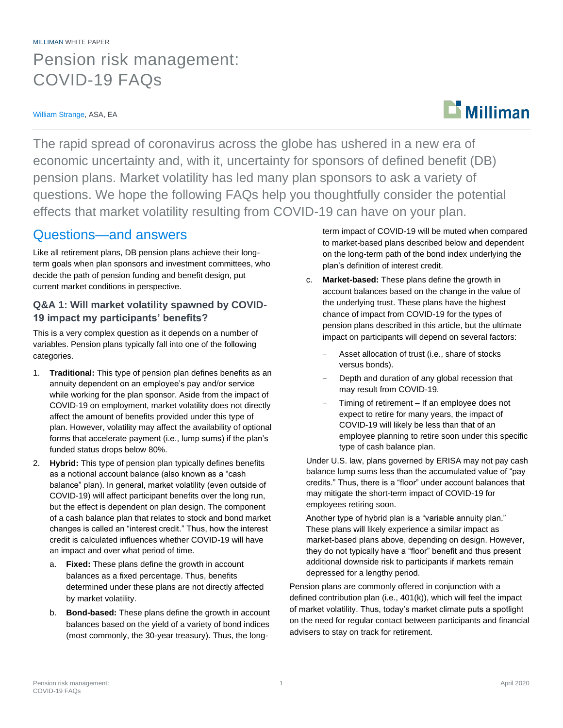# MILLIMAN WHITE PAPER Pension risk management: COVID-19 FAQs

#### William Strange, ASA, EA

# $\mathbf{D}$  Milliman

The rapid spread of coronavirus across the globe has ushered in a new era of economic uncertainty and, with it, uncertainty for sponsors of defined benefit (DB) pension plans. Market volatility has led many plan sponsors to ask a variety of questions. We hope the following FAQs help you thoughtfully consider the potential effects that market volatility resulting from COVID-19 can have on your plan.

# Questions—and answers

Like all retirement plans, DB pension plans achieve their longterm goals when plan sponsors and investment committees, who decide the path of pension funding and benefit design, put current market conditions in perspective.

### **Q&A 1: Will market volatility spawned by COVID-19 impact my participants' benefits?**

This is a very complex question as it depends on a number of variables. Pension plans typically fall into one of the following categories.

- 1. **Traditional:** This type of pension plan defines benefits as an annuity dependent on an employee's pay and/or service while working for the plan sponsor. Aside from the impact of COVID-19 on employment, market volatility does not directly affect the amount of benefits provided under this type of plan. However, volatility may affect the availability of optional forms that accelerate payment (i.e., lump sums) if the plan's funded status drops below 80%.
- 2. **Hybrid:** This type of pension plan typically defines benefits as a notional account balance (also known as a "cash balance" plan). In general, market volatility (even outside of COVID-19) will affect participant benefits over the long run, but the effect is dependent on plan design. The component of a cash balance plan that relates to stock and bond market changes is called an "interest credit." Thus, how the interest credit is calculated influences whether COVID-19 will have an impact and over what period of time.
	- a. **Fixed:** These plans define the growth in account balances as a fixed percentage. Thus, benefits determined under these plans are not directly affected by market volatility.
	- b. **Bond-based:** These plans define the growth in account balances based on the yield of a variety of bond indices (most commonly, the 30-year treasury). Thus, the long-

term impact of COVID-19 will be muted when compared to market-based plans described below and dependent on the long-term path of the bond index underlying the plan's definition of interest credit.

- c. **Market-based:** These plans define the growth in account balances based on the change in the value of the underlying trust. These plans have the highest chance of impact from COVID-19 for the types of pension plans described in this article, but the ultimate impact on participants will depend on several factors:
	- Asset allocation of trust (i.e., share of stocks versus bonds).
	- Depth and duration of any global recession that may result from COVID-19.
	- Timing of retirement If an employee does not expect to retire for many years, the impact of COVID-19 will likely be less than that of an employee planning to retire soon under this specific type of cash balance plan.

Under U.S. law, plans governed by ERISA may not pay cash balance lump sums less than the accumulated value of "pay credits." Thus, there is a "floor" under account balances that may mitigate the short-term impact of COVID-19 for employees retiring soon.

Another type of hybrid plan is a "variable annuity plan." These plans will likely experience a similar impact as market-based plans above, depending on design. However, they do not typically have a "floor" benefit and thus present additional downside risk to participants if markets remain depressed for a lengthy period.

Pension plans are commonly offered in conjunction with a defined contribution plan (i.e., 401(k)), which will feel the impact of market volatility. Thus, today's market climate puts a spotlight on the need for regular contact between participants and financial advisers to stay on track for retirement.